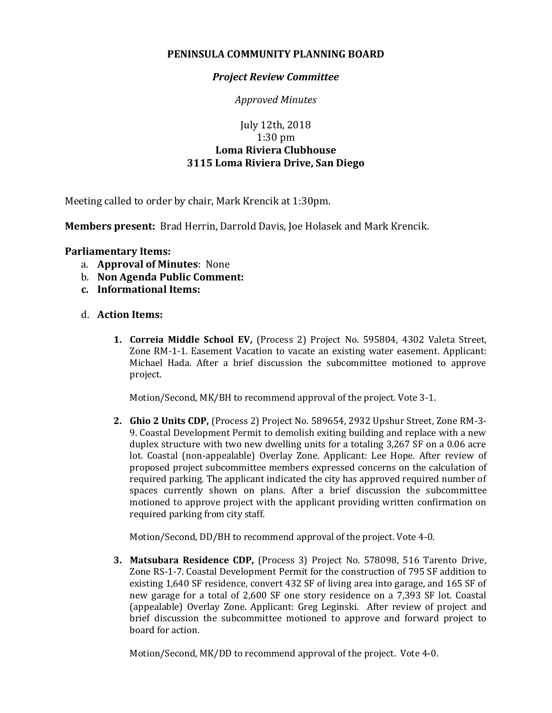## **PENINSULA COMMUNITY PLANNING BOARD**

## *Project Review Committee*

*Approved Minutes*

## July 12th, 2018 1:30 pm **Loma Riviera Clubhouse 3115 Loma Riviera Drive, San Diego**

Meeting called to order by chair, Mark Krencik at 1:30pm.

**Members present:** Brad Herrin, Darrold Davis, Joe Holasek and Mark Krencik.

## **Parliamentary Items:**

- a. **Approval of Minutes**: None
- b. **Non Agenda Public Comment:**
- **c. Informational Items:**
- d. **Action Items:**
	- **1. Correia Middle School EV,** (Process 2) Project No. 595804, 4302 Valeta Street, Zone RM-1-1. Easement Vacation to vacate an existing water easement. Applicant: Michael Hada. After a brief discussion the subcommittee motioned to approve project.

Motion/Second, MK/BH to recommend approval of the project. Vote 3-1.

**2. Ghio 2 Units CDP,** (Process 2) Project No. 589654, 2932 Upshur Street, Zone RM-3- 9. Coastal Development Permit to demolish exiting building and replace with a new duplex structure with two new dwelling units for a totaling 3,267 SF on a 0.06 acre lot. Coastal (non-appealable) Overlay Zone. Applicant: Lee Hope. After review of proposed project subcommittee members expressed concerns on the calculation of required parking. The applicant indicated the city has approved required number of spaces currently shown on plans. After a brief discussion the subcommittee motioned to approve project with the applicant providing written confirmation on required parking from city staff.

Motion/Second, DD/BH to recommend approval of the project. Vote 4-0.

**3. Matsubara Residence CDP,** (Process 3) Project No. 578098, 516 Tarento Drive, Zone RS-1-7. Coastal Development Permit for the construction of 795 SF addition to existing 1,640 SF residence, convert 432 SF of living area into garage, and 165 SF of new garage for a total of 2,600 SF one story residence on a 7,393 SF lot. Coastal (appealable) Overlay Zone. Applicant: Greg Leginski. After review of project and brief discussion the subcommittee motioned to approve and forward project to board for action.

Motion/Second, MK/DD to recommend approval of the project. Vote 4-0.